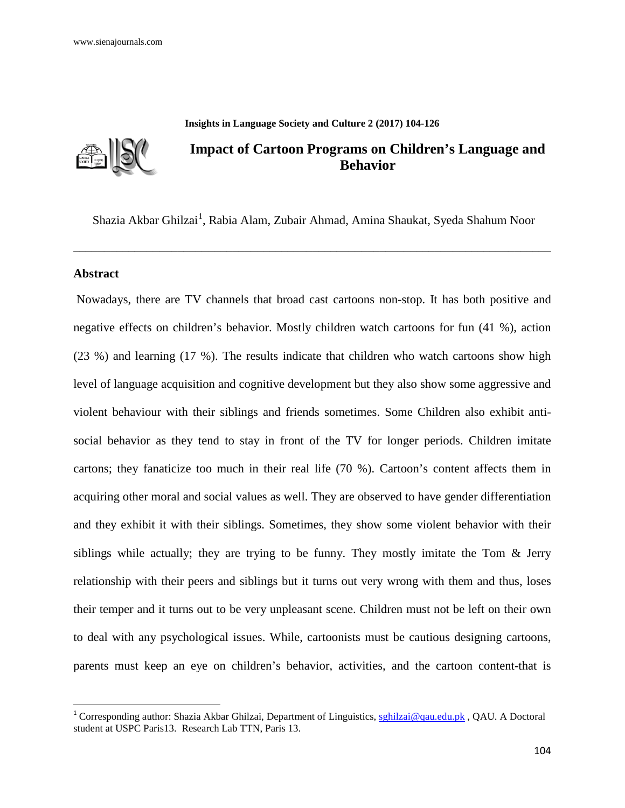#### **Insights in Language Society and Culture 2 (2017) 104-126**



# **Impact of Cartoon Programs on Children's Language and Behavior**

Shazia Akbar Ghilzai<sup>[1](#page-0-0)</sup>, Rabia Alam, Zubair Ahmad, Amina Shaukat, Syeda Shahum Noor

\_\_\_\_\_\_\_\_\_\_\_\_\_\_\_\_\_\_\_\_\_\_\_\_\_\_\_\_\_\_\_\_\_\_\_\_\_\_\_\_\_\_\_\_\_\_\_\_\_\_\_\_\_\_\_\_\_\_\_\_\_\_\_\_\_\_\_\_\_\_\_\_\_\_\_\_\_\_

# **Abstract**

Nowadays, there are TV channels that broad cast cartoons non-stop. It has both positive and negative effects on children's behavior. Mostly children watch cartoons for fun (41 %), action (23 %) and learning (17 %). The results indicate that children who watch cartoons show high level of language acquisition and cognitive development but they also show some aggressive and violent behaviour with their siblings and friends sometimes. Some Children also exhibit antisocial behavior as they tend to stay in front of the TV for longer periods. Children imitate cartons; they fanaticize too much in their real life (70 %). Cartoon's content affects them in acquiring other moral and social values as well. They are observed to have gender differentiation and they exhibit it with their siblings. Sometimes, they show some violent behavior with their siblings while actually; they are trying to be funny. They mostly imitate the Tom & Jerry relationship with their peers and siblings but it turns out very wrong with them and thus, loses their temper and it turns out to be very unpleasant scene. Children must not be left on their own to deal with any psychological issues. While, cartoonists must be cautious designing cartoons, parents must keep an eye on children's behavior, activities, and the cartoon content-that is

<span id="page-0-0"></span><sup>&</sup>lt;sup>1</sup> Corresponding author: Shazia Akbar Ghilzai, Department of Linguistics, [sghilzai@qau.edu.pk](mailto:sghilzai@qau.edu.pk), QAU. A Doctoral student at USPC Paris13. Research Lab TTN, Paris 13.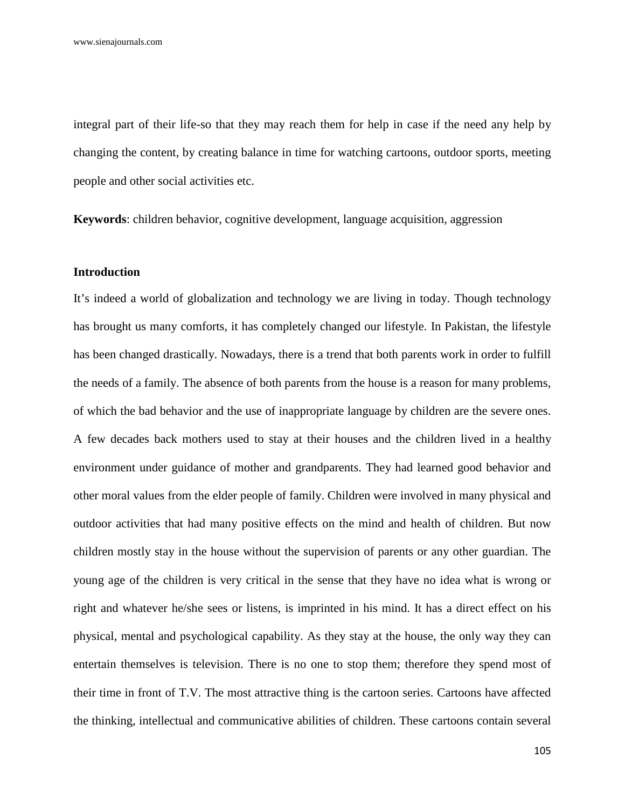integral part of their life-so that they may reach them for help in case if the need any help by changing the content, by creating balance in time for watching cartoons, outdoor sports, meeting people and other social activities etc.

**Keywords**: children behavior, cognitive development, language acquisition, aggression

#### **Introduction**

It's indeed a world of globalization and technology we are living in today. Though technology has brought us many comforts, it has completely changed our lifestyle. In Pakistan, the lifestyle has been changed drastically. Nowadays, there is a trend that both parents work in order to fulfill the needs of a family. The absence of both parents from the house is a reason for many problems, of which the bad behavior and the use of inappropriate language by children are the severe ones. A few decades back mothers used to stay at their houses and the children lived in a healthy environment under guidance of mother and grandparents. They had learned good behavior and other moral values from the elder people of family. Children were involved in many physical and outdoor activities that had many positive effects on the mind and health of children. But now children mostly stay in the house without the supervision of parents or any other guardian. The young age of the children is very critical in the sense that they have no idea what is wrong or right and whatever he/she sees or listens, is imprinted in his mind. It has a direct effect on his physical, mental and psychological capability. As they stay at the house, the only way they can entertain themselves is television. There is no one to stop them; therefore they spend most of their time in front of T.V. The most attractive thing is the cartoon series. Cartoons have affected the thinking, intellectual and communicative abilities of children. These cartoons contain several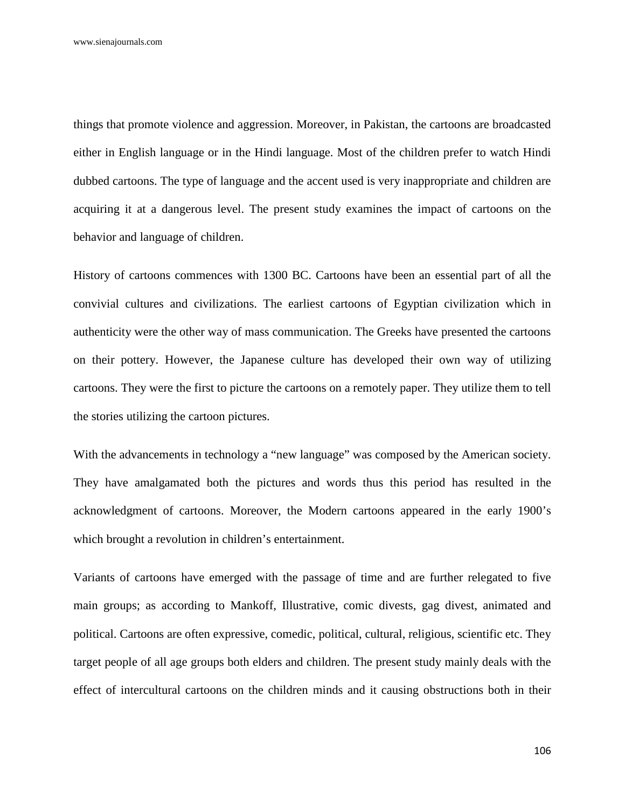things that promote violence and aggression. Moreover, in Pakistan, the cartoons are broadcasted either in English language or in the Hindi language. Most of the children prefer to watch Hindi dubbed cartoons. The type of language and the accent used is very inappropriate and children are acquiring it at a dangerous level. The present study examines the impact of cartoons on the behavior and language of children.

History of cartoons commences with 1300 BC. Cartoons have been an essential part of all the convivial cultures and civilizations. The earliest cartoons of Egyptian civilization which in authenticity were the other way of mass communication. The Greeks have presented the cartoons on their pottery. However, the Japanese culture has developed their own way of utilizing cartoons. They were the first to picture the cartoons on a remotely paper. They utilize them to tell the stories utilizing the cartoon pictures.

With the advancements in technology a "new language" was composed by the American society. They have amalgamated both the pictures and words thus this period has resulted in the acknowledgment of cartoons. Moreover, the Modern cartoons appeared in the early 1900's which brought a revolution in children's entertainment.

Variants of cartoons have emerged with the passage of time and are further relegated to five main groups; as according to Mankoff, Illustrative, comic divests, gag divest, animated and political. Cartoons are often expressive, comedic, political, cultural, religious, scientific etc. They target people of all age groups both elders and children. The present study mainly deals with the effect of intercultural cartoons on the children minds and it causing obstructions both in their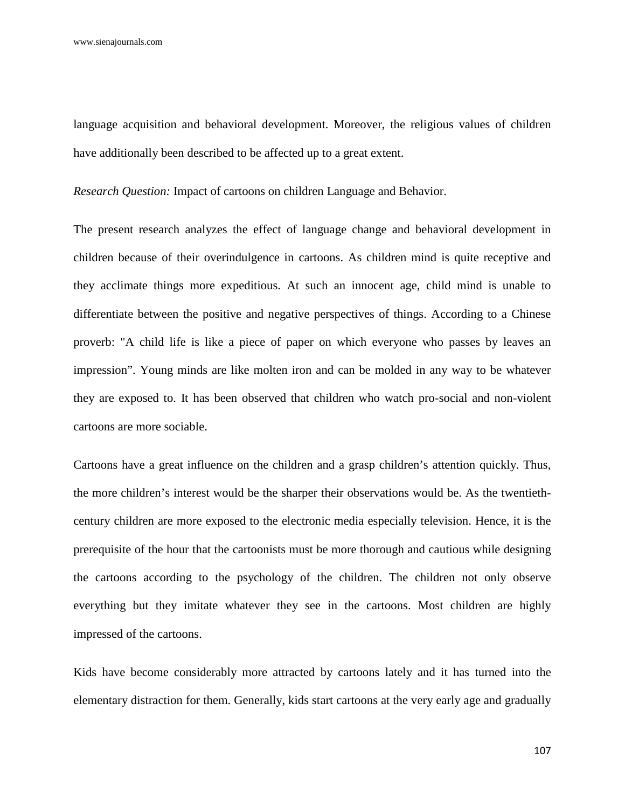language acquisition and behavioral development. Moreover, the religious values of children have additionally been described to be affected up to a great extent.

*Research Question:* Impact of cartoons on children Language and Behavior.

The present research analyzes the effect of language change and behavioral development in children because of their overindulgence in cartoons. As children mind is quite receptive and they acclimate things more expeditious. At such an innocent age, child mind is unable to differentiate between the positive and negative perspectives of things. According to a Chinese proverb: "A child life is like a piece of paper on which everyone who passes by leaves an impression". Young minds are like molten iron and can be molded in any way to be whatever they are exposed to. It has been observed that children who watch pro-social and non-violent cartoons are more sociable.

Cartoons have a great influence on the children and a grasp children's attention quickly. Thus, the more children's interest would be the sharper their observations would be. As the twentiethcentury children are more exposed to the electronic media especially television. Hence, it is the prerequisite of the hour that the cartoonists must be more thorough and cautious while designing the cartoons according to the psychology of the children. The children not only observe everything but they imitate whatever they see in the cartoons. Most children are highly impressed of the cartoons.

Kids have become considerably more attracted by cartoons lately and it has turned into the elementary distraction for them. Generally, kids start cartoons at the very early age and gradually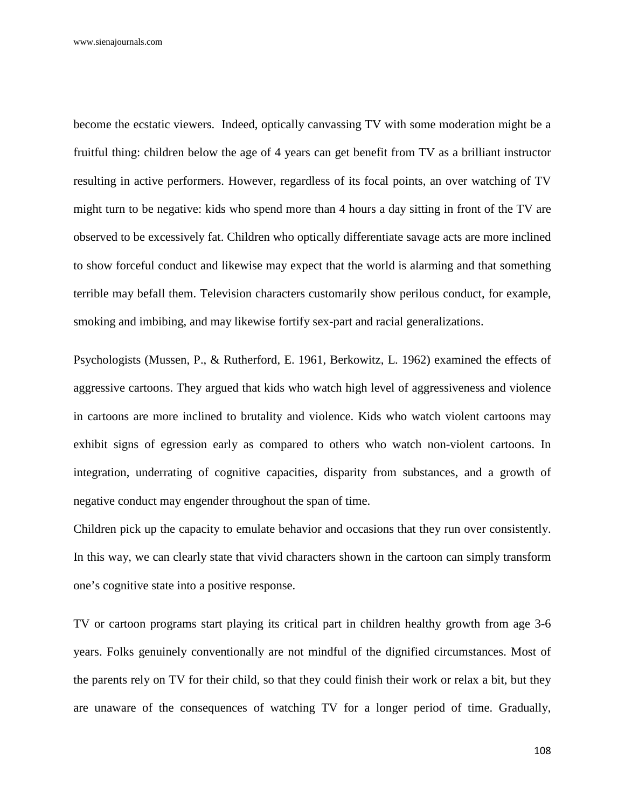become the ecstatic viewers. Indeed, optically canvassing TV with some moderation might be a fruitful thing: children below the age of 4 years can get benefit from TV as a brilliant instructor resulting in active performers. However, regardless of its focal points, an over watching of TV might turn to be negative: kids who spend more than 4 hours a day sitting in front of the TV are observed to be excessively fat. Children who optically differentiate savage acts are more inclined to show forceful conduct and likewise may expect that the world is alarming and that something terrible may befall them. Television characters customarily show perilous conduct, for example, smoking and imbibing, and may likewise fortify sex-part and racial generalizations.

Psychologists (Mussen, P., & Rutherford, E. 1961, Berkowitz, L. 1962) examined the effects of aggressive cartoons. They argued that kids who watch high level of aggressiveness and violence in cartoons are more inclined to brutality and violence. Kids who watch violent cartoons may exhibit signs of egression early as compared to others who watch non-violent cartoons. In integration, underrating of cognitive capacities, disparity from substances, and a growth of negative conduct may engender throughout the span of time.

Children pick up the capacity to emulate behavior and occasions that they run over consistently. In this way, we can clearly state that vivid characters shown in the cartoon can simply transform one's cognitive state into a positive response.

TV or cartoon programs start playing its critical part in children healthy growth from age 3-6 years. Folks genuinely conventionally are not mindful of the dignified circumstances. Most of the parents rely on TV for their child, so that they could finish their work or relax a bit, but they are unaware of the consequences of watching TV for a longer period of time. Gradually,

108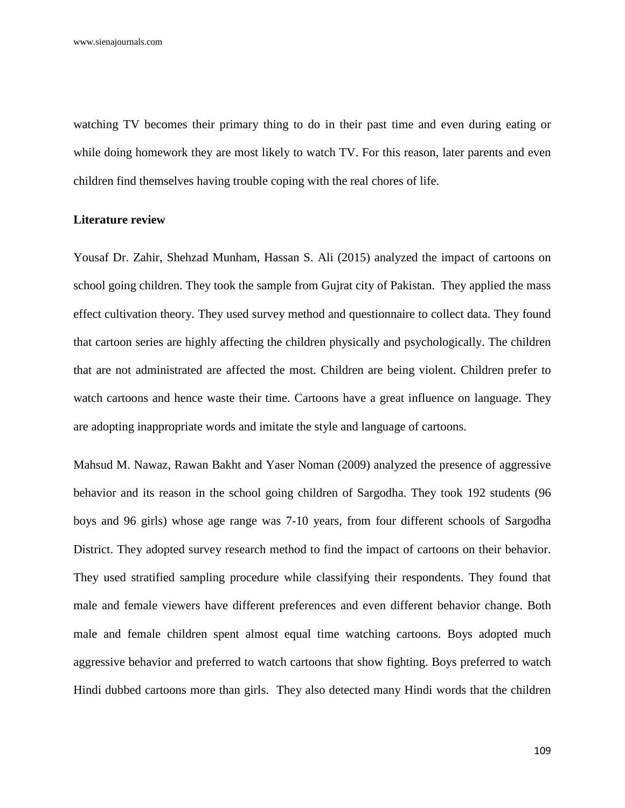watching TV becomes their primary thing to do in their past time and even during eating or while doing homework they are most likely to watch TV. For this reason, later parents and even children find themselves having trouble coping with the real chores of life.

# **Literature review**

Yousaf Dr. Zahir, Shehzad Munham, Hassan S. Ali (2015) analyzed the impact of cartoons on school going children. They took the sample from Gujrat city of Pakistan. They applied the mass effect cultivation theory. They used survey method and questionnaire to collect data. They found that cartoon series are highly affecting the children physically and psychologically. The children that are not administrated are affected the most. Children are being violent. Children prefer to watch cartoons and hence waste their time. Cartoons have a great influence on language. They are adopting inappropriate words and imitate the style and language of cartoons.

Mahsud M. Nawaz, Rawan Bakht and Yaser Noman (2009) analyzed the presence of aggressive behavior and its reason in the school going children of Sargodha. They took 192 students (96 boys and 96 girls) whose age range was 7-10 years, from four different schools of Sargodha District. They adopted survey research method to find the impact of cartoons on their behavior. They used stratified sampling procedure while classifying their respondents. They found that male and female viewers have different preferences and even different behavior change. Both male and female children spent almost equal time watching cartoons. Boys adopted much aggressive behavior and preferred to watch cartoons that show fighting. Boys preferred to watch Hindi dubbed cartoons more than girls. They also detected many Hindi words that the children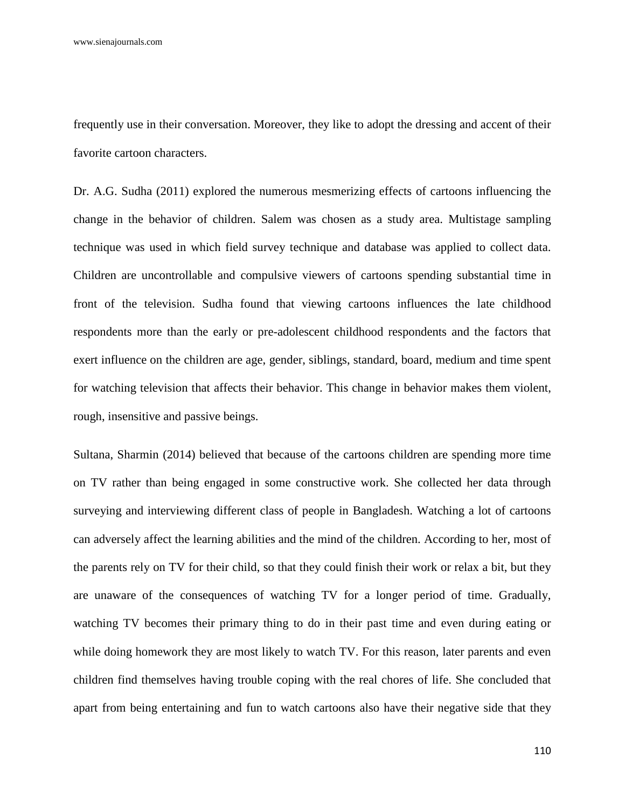frequently use in their conversation. Moreover, they like to adopt the dressing and accent of their favorite cartoon characters.

Dr. A.G. Sudha (2011) explored the numerous mesmerizing effects of cartoons influencing the change in the behavior of children. Salem was chosen as a study area. Multistage sampling technique was used in which field survey technique and database was applied to collect data. Children are uncontrollable and compulsive viewers of cartoons spending substantial time in front of the television. Sudha found that viewing cartoons influences the late childhood respondents more than the early or pre-adolescent childhood respondents and the factors that exert influence on the children are age, gender, siblings, standard, board, medium and time spent for watching television that affects their behavior. This change in behavior makes them violent, rough, insensitive and passive beings.

Sultana, Sharmin (2014) believed that because of the cartoons children are spending more time on TV rather than being engaged in some constructive work. She collected her data through surveying and interviewing different class of people in Bangladesh. Watching a lot of cartoons can adversely affect the learning abilities and the mind of the children. According to her, most of the parents rely on TV for their child, so that they could finish their work or relax a bit, but they are unaware of the consequences of watching TV for a longer period of time. Gradually, watching TV becomes their primary thing to do in their past time and even during eating or while doing homework they are most likely to watch TV. For this reason, later parents and even children find themselves having trouble coping with the real chores of life. She concluded that apart from being entertaining and fun to watch cartoons also have their negative side that they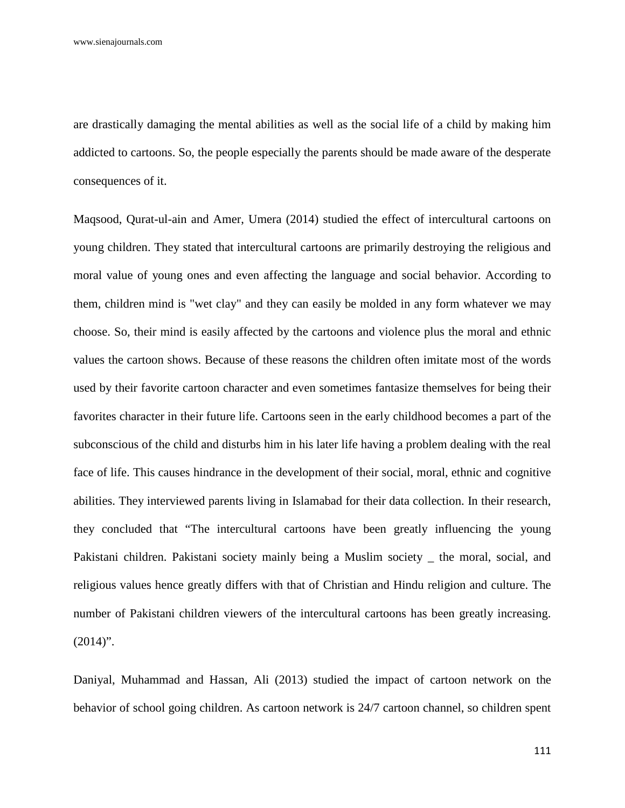are drastically damaging the mental abilities as well as the social life of a child by making him addicted to cartoons. So, the people especially the parents should be made aware of the desperate consequences of it.

Maqsood, Qurat-ul-ain and Amer, Umera (2014) studied the effect of intercultural cartoons on young children. They stated that intercultural cartoons are primarily destroying the religious and moral value of young ones and even affecting the language and social behavior. According to them, children mind is "wet clay" and they can easily be molded in any form whatever we may choose. So, their mind is easily affected by the cartoons and violence plus the moral and ethnic values the cartoon shows. Because of these reasons the children often imitate most of the words used by their favorite cartoon character and even sometimes fantasize themselves for being their favorites character in their future life. Cartoons seen in the early childhood becomes a part of the subconscious of the child and disturbs him in his later life having a problem dealing with the real face of life. This causes hindrance in the development of their social, moral, ethnic and cognitive abilities. They interviewed parents living in Islamabad for their data collection. In their research, they concluded that "The intercultural cartoons have been greatly influencing the young Pakistani children. Pakistani society mainly being a Muslim society \_ the moral, social, and religious values hence greatly differs with that of Christian and Hindu religion and culture. The number of Pakistani children viewers of the intercultural cartoons has been greatly increasing.  $(2014)$ ".

Daniyal, Muhammad and Hassan, Ali (2013) studied the impact of cartoon network on the behavior of school going children. As cartoon network is 24/7 cartoon channel, so children spent

111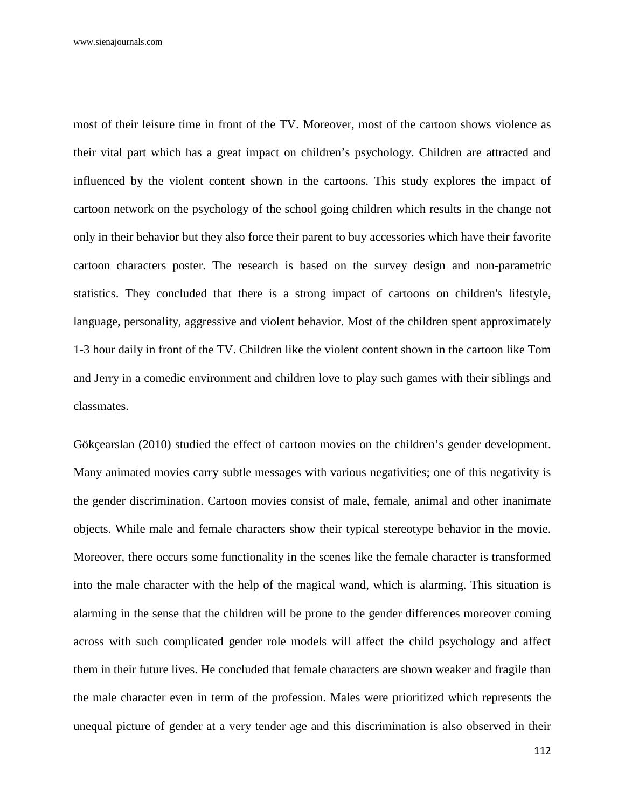most of their leisure time in front of the TV. Moreover, most of the cartoon shows violence as their vital part which has a great impact on children's psychology. Children are attracted and influenced by the violent content shown in the cartoons. This study explores the impact of cartoon network on the psychology of the school going children which results in the change not only in their behavior but they also force their parent to buy accessories which have their favorite cartoon characters poster. The research is based on the survey design and non-parametric statistics. They concluded that there is a strong impact of cartoons on children's lifestyle, language, personality, aggressive and violent behavior. Most of the children spent approximately 1-3 hour daily in front of the TV. Children like the violent content shown in the cartoon like Tom and Jerry in a comedic environment and children love to play such games with their siblings and classmates.

Gökçearslan (2010) studied the effect of cartoon movies on the children's gender development. Many animated movies carry subtle messages with various negativities; one of this negativity is the gender discrimination. Cartoon movies consist of male, female, animal and other inanimate objects. While male and female characters show their typical stereotype behavior in the movie. Moreover, there occurs some functionality in the scenes like the female character is transformed into the male character with the help of the magical wand, which is alarming. This situation is alarming in the sense that the children will be prone to the gender differences moreover coming across with such complicated gender role models will affect the child psychology and affect them in their future lives. He concluded that female characters are shown weaker and fragile than the male character even in term of the profession. Males were prioritized which represents the unequal picture of gender at a very tender age and this discrimination is also observed in their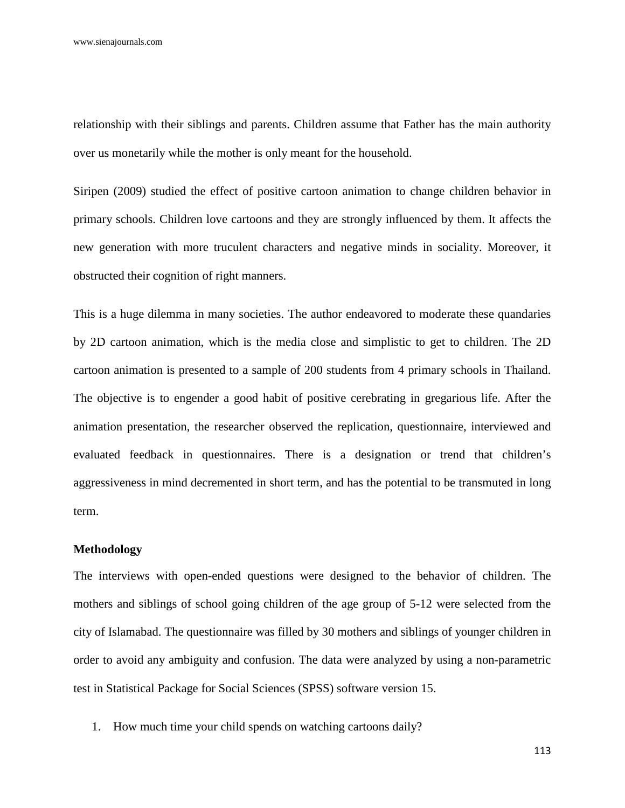relationship with their siblings and parents. Children assume that Father has the main authority over us monetarily while the mother is only meant for the household.

Siripen (2009) studied the effect of positive cartoon animation to change children behavior in primary schools. Children love cartoons and they are strongly influenced by them. It affects the new generation with more truculent characters and negative minds in sociality. Moreover, it obstructed their cognition of right manners.

This is a huge dilemma in many societies. The author endeavored to moderate these quandaries by 2D cartoon animation, which is the media close and simplistic to get to children. The 2D cartoon animation is presented to a sample of 200 students from 4 primary schools in Thailand. The objective is to engender a good habit of positive cerebrating in gregarious life. After the animation presentation, the researcher observed the replication, questionnaire, interviewed and evaluated feedback in questionnaires. There is a designation or trend that children's aggressiveness in mind decremented in short term, and has the potential to be transmuted in long term.

# **Methodology**

The interviews with open-ended questions were designed to the behavior of children. The mothers and siblings of school going children of the age group of 5-12 were selected from the city of Islamabad. The questionnaire was filled by 30 mothers and siblings of younger children in order to avoid any ambiguity and confusion. The data were analyzed by using a non-parametric test in Statistical Package for Social Sciences (SPSS) software version 15.

1. How much time your child spends on watching cartoons daily?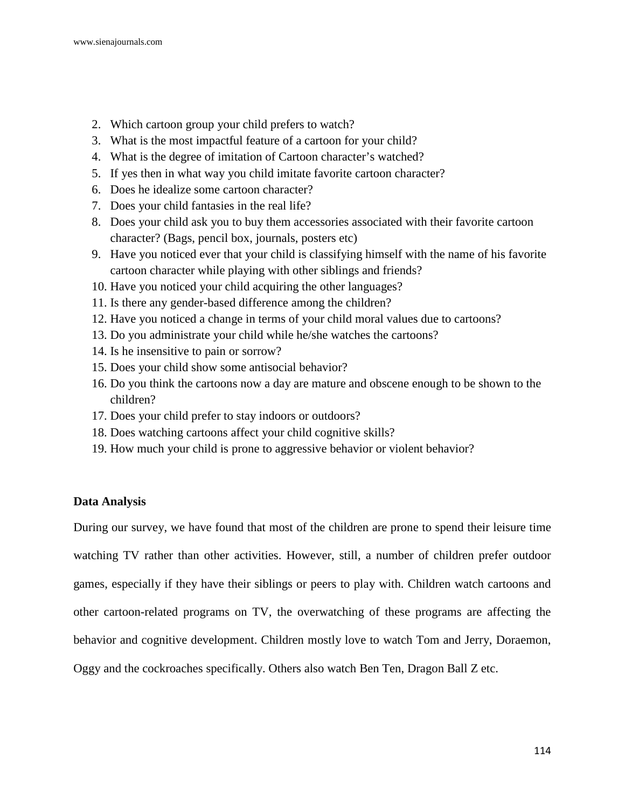- 2. Which cartoon group your child prefers to watch?
- 3. What is the most impactful feature of a cartoon for your child?
- 4. What is the degree of imitation of Cartoon character's watched?
- 5. If yes then in what way you child imitate favorite cartoon character?
- 6. Does he idealize some cartoon character?
- 7. Does your child fantasies in the real life?
- 8. Does your child ask you to buy them accessories associated with their favorite cartoon character? (Bags, pencil box, journals, posters etc)
- 9. Have you noticed ever that your child is classifying himself with the name of his favorite cartoon character while playing with other siblings and friends?
- 10. Have you noticed your child acquiring the other languages?
- 11. Is there any gender-based difference among the children?
- 12. Have you noticed a change in terms of your child moral values due to cartoons?
- 13. Do you administrate your child while he/she watches the cartoons?
- 14. Is he insensitive to pain or sorrow?
- 15. Does your child show some antisocial behavior?
- 16. Do you think the cartoons now a day are mature and obscene enough to be shown to the children?
- 17. Does your child prefer to stay indoors or outdoors?
- 18. Does watching cartoons affect your child cognitive skills?
- 19. How much your child is prone to aggressive behavior or violent behavior?

#### **Data Analysis**

During our survey, we have found that most of the children are prone to spend their leisure time

watching TV rather than other activities. However, still, a number of children prefer outdoor

games, especially if they have their siblings or peers to play with. Children watch cartoons and

other cartoon-related programs on TV, the overwatching of these programs are affecting the

behavior and cognitive development. Children mostly love to watch Tom and Jerry, Doraemon,

Oggy and the cockroaches specifically. Others also watch Ben Ten, Dragon Ball Z etc.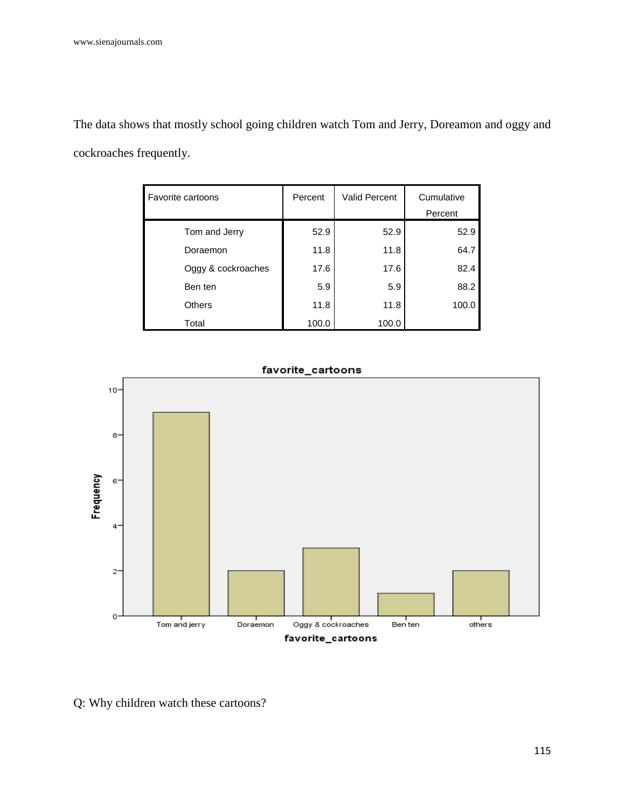The data shows that mostly school going children watch Tom and Jerry, Doreamon and oggy and cockroaches frequently.

| Favorite cartoons  | Percent | <b>Valid Percent</b> | Cumulative<br>Percent |
|--------------------|---------|----------------------|-----------------------|
| Tom and Jerry      | 52.9    | 52.9                 | 52.9                  |
| Doraemon           | 11.8    | 11.8                 | 64.7                  |
| Oggy & cockroaches | 17.6    | 17.6                 | 82.4                  |
| Ben ten            | 5.9     | 5.9                  | 88.2                  |
| <b>Others</b>      | 11.8    | 11.8                 | 100.0                 |
| Total              | 100.0   | 100.0                |                       |





Q: Why children watch these cartoons?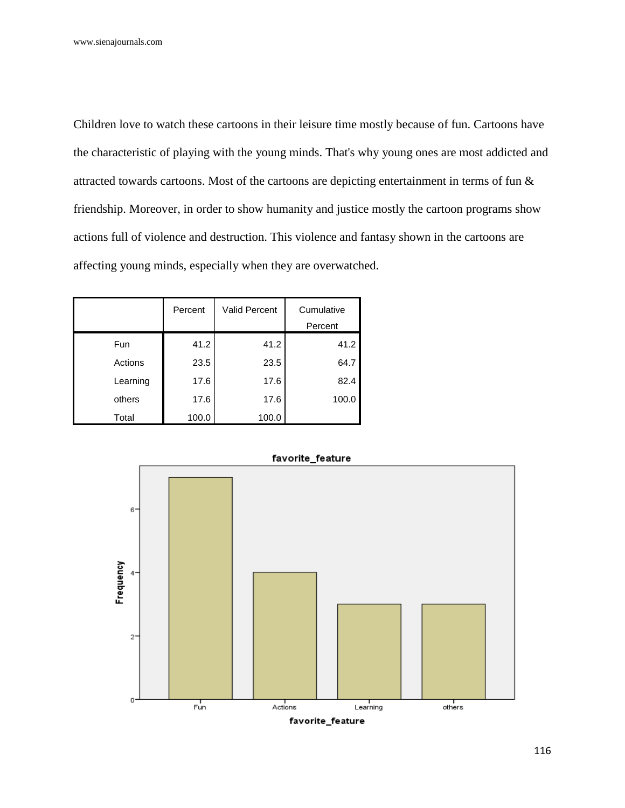Children love to watch these cartoons in their leisure time mostly because of fun. Cartoons have the characteristic of playing with the young minds. That's why young ones are most addicted and attracted towards cartoons. Most of the cartoons are depicting entertainment in terms of fun & friendship. Moreover, in order to show humanity and justice mostly the cartoon programs show actions full of violence and destruction. This violence and fantasy shown in the cartoons are affecting young minds, especially when they are overwatched.

|          | Percent | <b>Valid Percent</b> | Cumulative |
|----------|---------|----------------------|------------|
|          |         |                      | Percent    |
| Fun      | 41.2    | 41.2                 | 41.2       |
| Actions  | 23.5    | 23.5                 | 64.7       |
| Learning | 17.6    | 17.6                 | 82.4       |
| others   | 17.6    | 17.6                 | 100.0      |
| Total    | 100.0   | 100.0                |            |

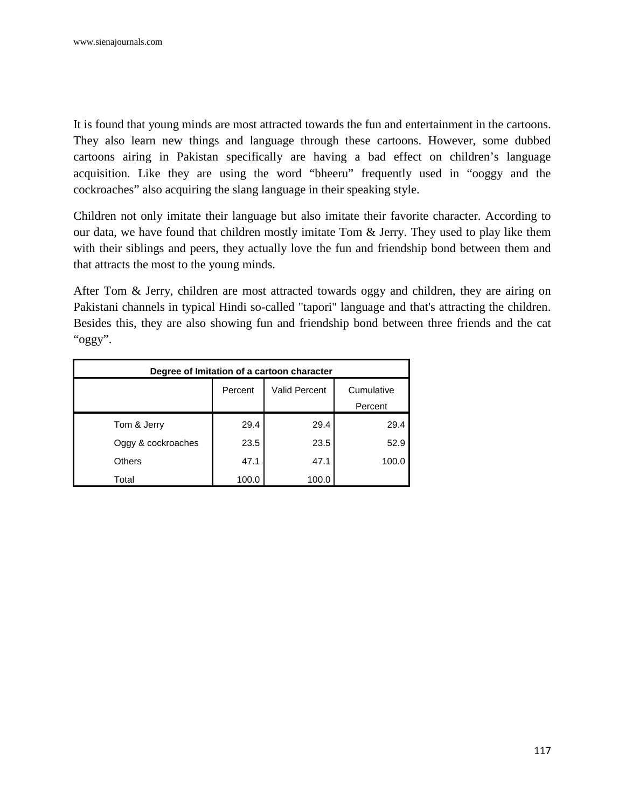It is found that young minds are most attracted towards the fun and entertainment in the cartoons. They also learn new things and language through these cartoons. However, some dubbed cartoons airing in Pakistan specifically are having a bad effect on children's language acquisition. Like they are using the word "bheeru" frequently used in "ooggy and the cockroaches" also acquiring the slang language in their speaking style.

Children not only imitate their language but also imitate their favorite character. According to our data, we have found that children mostly imitate Tom & Jerry. They used to play like them with their siblings and peers, they actually love the fun and friendship bond between them and that attracts the most to the young minds.

After Tom & Jerry, children are most attracted towards oggy and children, they are airing on Pakistani channels in typical Hindi so-called "tapori" language and that's attracting the children. Besides this, they are also showing fun and friendship bond between three friends and the cat "oggy".

| Degree of Imitation of a cartoon character |         |                      |                       |  |  |
|--------------------------------------------|---------|----------------------|-----------------------|--|--|
|                                            | Percent | <b>Valid Percent</b> | Cumulative<br>Percent |  |  |
| Tom & Jerry                                | 29.4    | 29.4                 | 29.4                  |  |  |
| Oggy & cockroaches                         | 23.5    | 23.5                 | 52.9                  |  |  |
| <b>Others</b>                              | 47.1    | 47.1                 | 100.0                 |  |  |
| Total                                      | 100.0   | 100.0                |                       |  |  |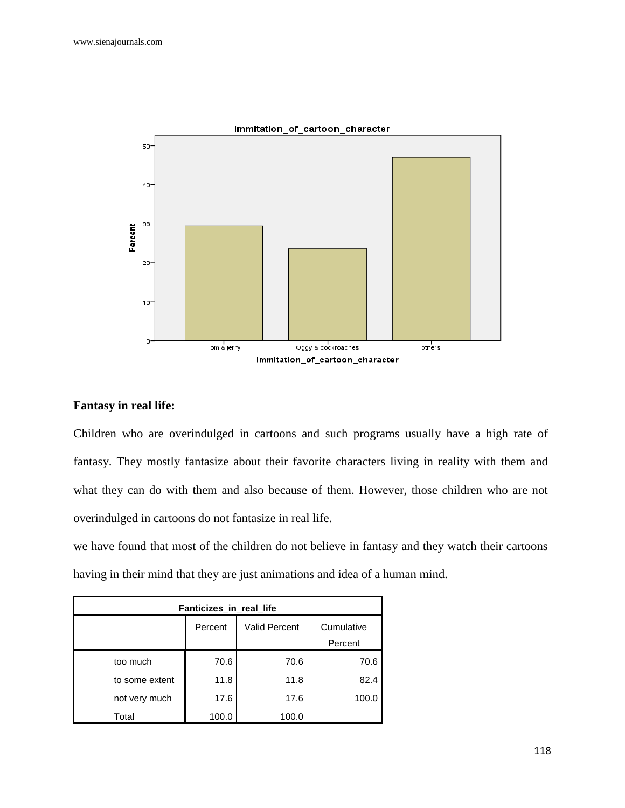

# **Fantasy in real life:**

Children who are overindulged in cartoons and such programs usually have a high rate of fantasy. They mostly fantasize about their favorite characters living in reality with them and what they can do with them and also because of them. However, those children who are not overindulged in cartoons do not fantasize in real life.

we have found that most of the children do not believe in fantasy and they watch their cartoons having in their mind that they are just animations and idea of a human mind.

| Fanticizes_in_real_life |         |                      |            |  |  |
|-------------------------|---------|----------------------|------------|--|--|
|                         | Percent | <b>Valid Percent</b> | Cumulative |  |  |
|                         |         |                      | Percent    |  |  |
| too much                | 70.6    | 70.6                 | 70.6       |  |  |
| to some extent          | 11.8    | 11.8                 | 82.4       |  |  |
| not very much           | 17.6    | 17.6                 | 100.0      |  |  |
| Total                   | 100.0   | 100.0                |            |  |  |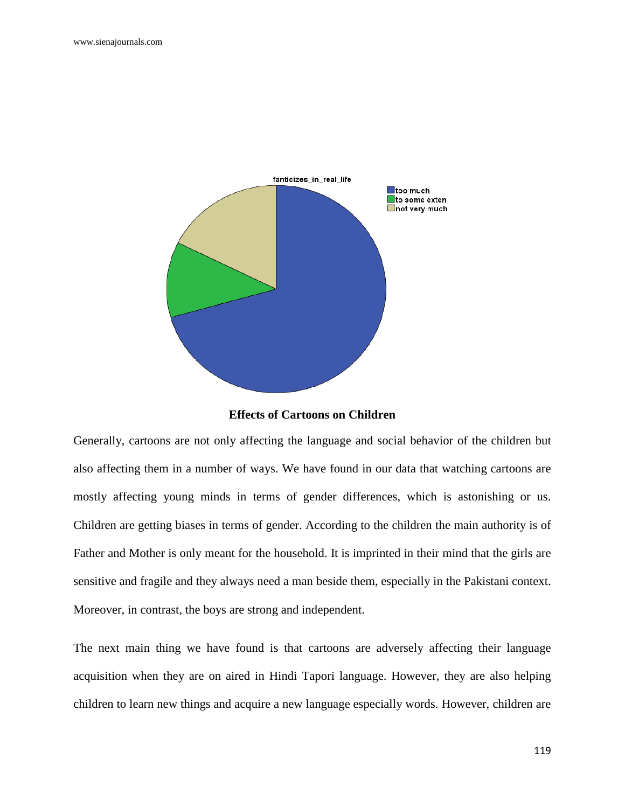

**Effects of Cartoons on Children**

Generally, cartoons are not only affecting the language and social behavior of the children but also affecting them in a number of ways. We have found in our data that watching cartoons are mostly affecting young minds in terms of gender differences, which is astonishing or us. Children are getting biases in terms of gender. According to the children the main authority is of Father and Mother is only meant for the household. It is imprinted in their mind that the girls are sensitive and fragile and they always need a man beside them, especially in the Pakistani context. Moreover, in contrast, the boys are strong and independent.

The next main thing we have found is that cartoons are adversely affecting their language acquisition when they are on aired in Hindi Tapori language. However, they are also helping children to learn new things and acquire a new language especially words. However, children are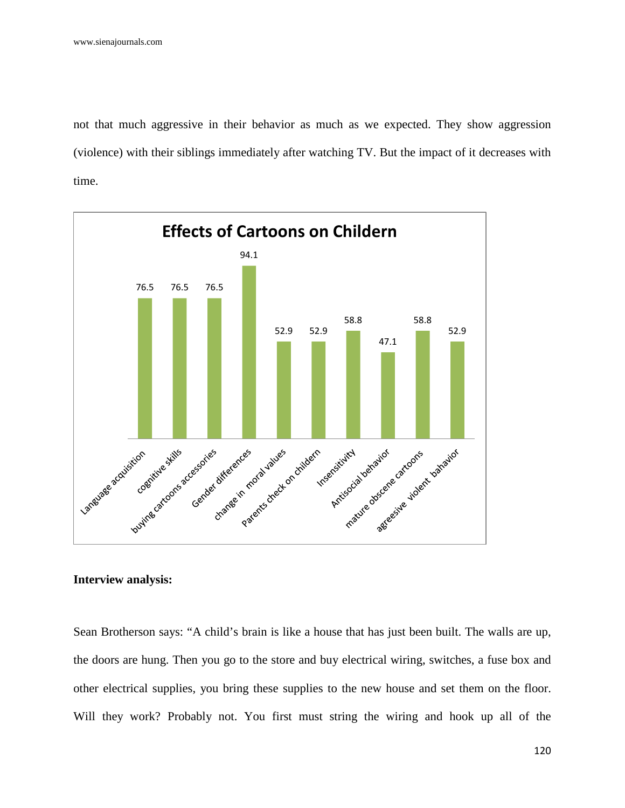not that much aggressive in their behavior as much as we expected. They show aggression (violence) with their siblings immediately after watching TV. But the impact of it decreases with time.



#### **Interview analysis:**

Sean Brotherson says: "A child's brain is like a house that has just been built. The walls are up, the doors are hung. Then you go to the store and buy electrical wiring, switches, a fuse box and other electrical supplies, you bring these supplies to the new house and set them on the floor. Will they work? Probably not. You first must string the wiring and hook up all of the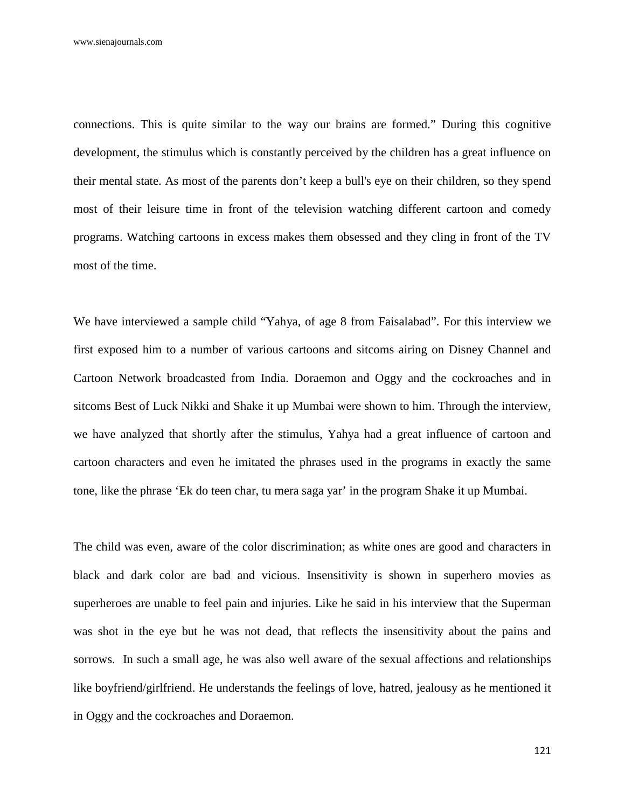connections. This is quite similar to the way our brains are formed." During this cognitive development, the stimulus which is constantly perceived by the children has a great influence on their mental state. As most of the parents don't keep a bull's eye on their children, so they spend most of their leisure time in front of the television watching different cartoon and comedy programs. Watching cartoons in excess makes them obsessed and they cling in front of the TV most of the time.

We have interviewed a sample child "Yahya, of age 8 from Faisalabad". For this interview we first exposed him to a number of various cartoons and sitcoms airing on Disney Channel and Cartoon Network broadcasted from India. Doraemon and Oggy and the cockroaches and in sitcoms Best of Luck Nikki and Shake it up Mumbai were shown to him. Through the interview, we have analyzed that shortly after the stimulus, Yahya had a great influence of cartoon and cartoon characters and even he imitated the phrases used in the programs in exactly the same tone, like the phrase 'Ek do teen char, tu mera saga yar' in the program Shake it up Mumbai.

The child was even, aware of the color discrimination; as white ones are good and characters in black and dark color are bad and vicious. Insensitivity is shown in superhero movies as superheroes are unable to feel pain and injuries. Like he said in his interview that the Superman was shot in the eye but he was not dead, that reflects the insensitivity about the pains and sorrows. In such a small age, he was also well aware of the sexual affections and relationships like boyfriend/girlfriend. He understands the feelings of love, hatred, jealousy as he mentioned it in Oggy and the cockroaches and Doraemon.

121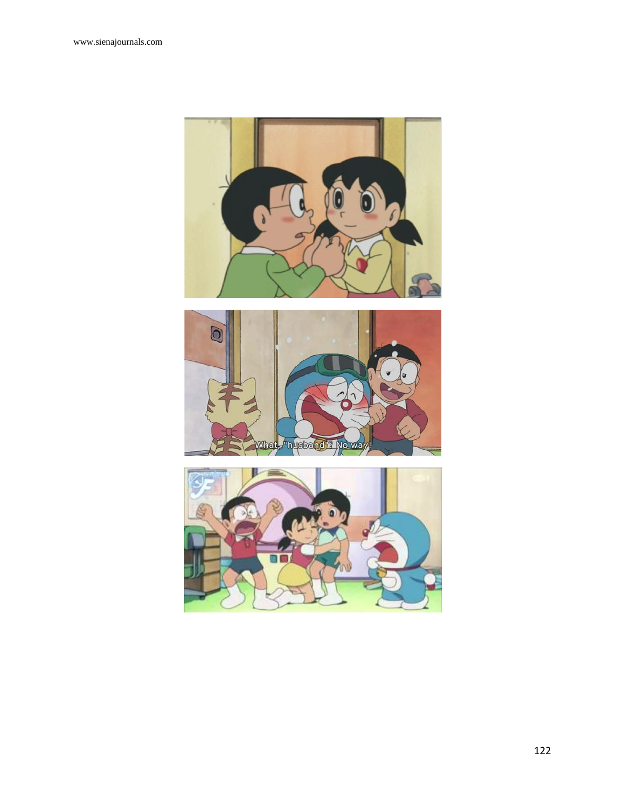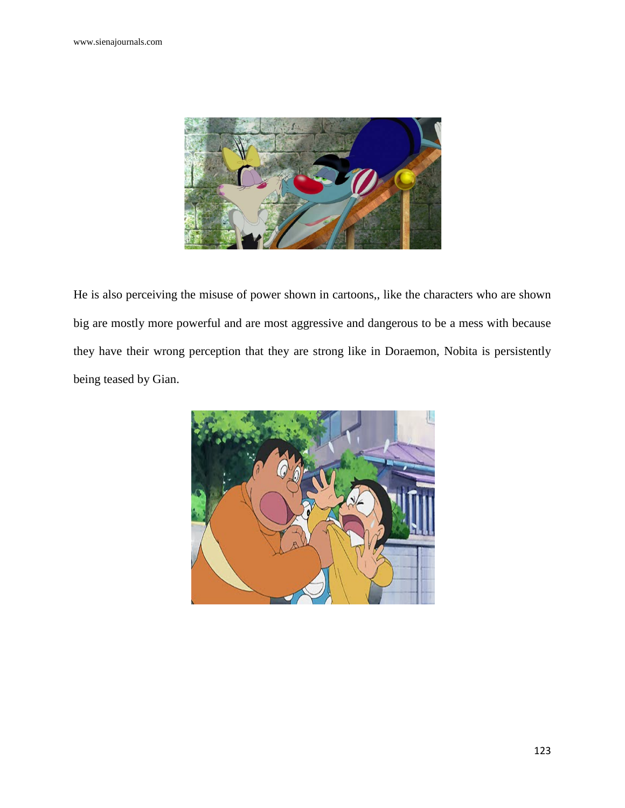

He is also perceiving the misuse of power shown in cartoons,, like the characters who are shown big are mostly more powerful and are most aggressive and dangerous to be a mess with because they have their wrong perception that they are strong like in Doraemon, Nobita is persistently being teased by Gian.

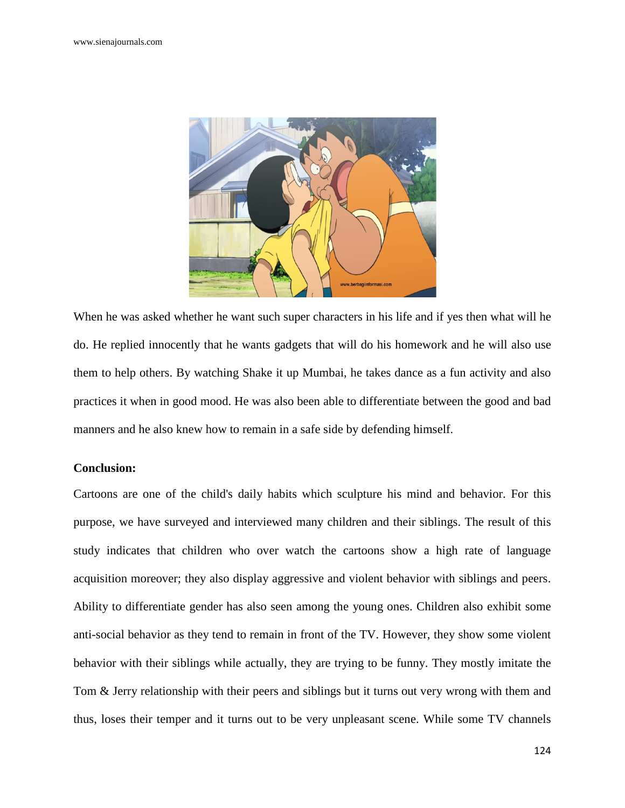

When he was asked whether he want such super characters in his life and if yes then what will he do. He replied innocently that he wants gadgets that will do his homework and he will also use them to help others. By watching Shake it up Mumbai, he takes dance as a fun activity and also practices it when in good mood. He was also been able to differentiate between the good and bad manners and he also knew how to remain in a safe side by defending himself.

# **Conclusion:**

Cartoons are one of the child's daily habits which sculpture his mind and behavior. For this purpose, we have surveyed and interviewed many children and their siblings. The result of this study indicates that children who over watch the cartoons show a high rate of language acquisition moreover; they also display aggressive and violent behavior with siblings and peers. Ability to differentiate gender has also seen among the young ones. Children also exhibit some anti-social behavior as they tend to remain in front of the TV. However, they show some violent behavior with their siblings while actually, they are trying to be funny. They mostly imitate the Tom & Jerry relationship with their peers and siblings but it turns out very wrong with them and thus, loses their temper and it turns out to be very unpleasant scene. While some TV channels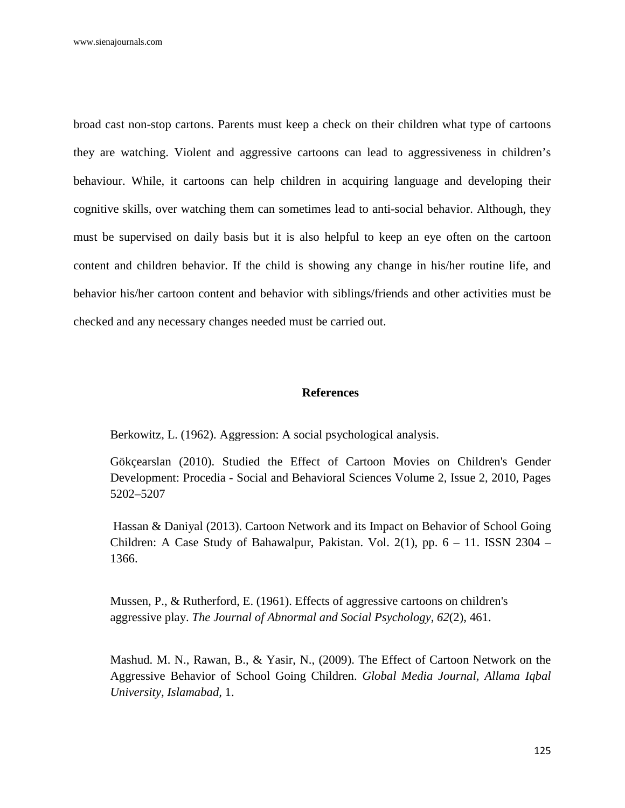broad cast non-stop cartons. Parents must keep a check on their children what type of cartoons they are watching. Violent and aggressive cartoons can lead to aggressiveness in children's behaviour. While, it cartoons can help children in acquiring language and developing their cognitive skills, over watching them can sometimes lead to anti-social behavior. Although, they must be supervised on daily basis but it is also helpful to keep an eye often on the cartoon content and children behavior. If the child is showing any change in his/her routine life, and behavior his/her cartoon content and behavior with siblings/friends and other activities must be checked and any necessary changes needed must be carried out.

# **References**

Berkowitz, L. (1962). Aggression: A social psychological analysis.

Gökçearslan (2010). Studied the Effect of Cartoon Movies on Children's Gender Development: Procedia - Social and Behavioral Sciences Volume 2, Issue 2, 2010, Pages 5202–5207

Hassan & Daniyal (2013). Cartoon Network and its Impact on Behavior of School Going Children: A Case Study of Bahawalpur, Pakistan. Vol. 2(1), pp. 6 – 11. ISSN 2304 – 1366.

Mussen, P., & Rutherford, E. (1961). Effects of aggressive cartoons on children's aggressive play. *The Journal of Abnormal and Social Psychology*, *62*(2), 461.

Mashud. M. N., Rawan, B., & Yasir, N., (2009). The Effect of Cartoon Network on the Aggressive Behavior of School Going Children. *Global Media Journal, Allama Iqbal University, Islamabad,* 1.